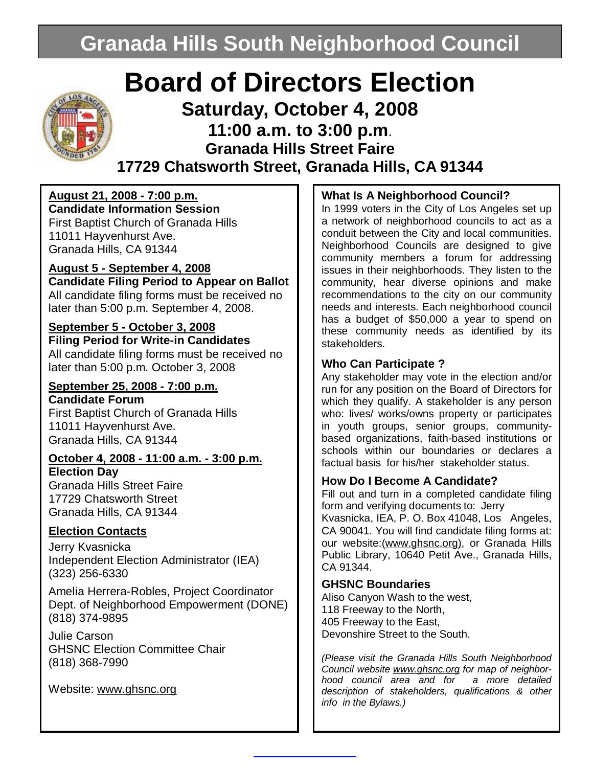# **Granada Hills South Neighborhood Council**

# **Board of Directors Election**

## **Saturday, October 4, 2008 11:00 a.m. to 3:00 p.m**. **Granada Hills Street Faire 17729 Chatsworth Street, Granada Hills, CA 91344**

## **August 21, 2008 - 7:00 p.m.**

**Candidate Information Session**  First Baptist Church of Granada Hills 11011 Hayvenhurst Ave. Granada Hills, CA 91344

#### **August 5 - September 4, 2008**

**Candidate Filing Period to Appear on Ballot**  All candidate filing forms must be received no later than 5:00 p.m. September 4, 2008.

#### **September 5 - October 3, 2008**

**Filing Period for Write-in Candidates**  All candidate filing forms must be received no later than 5:00 p.m. October 3, 2008

## **September 25, 2008 - 7:00 p.m.**

**Candidate Forum**  First Baptist Church of Granada Hills 11011 Hayvenhurst Ave. Granada Hills, CA 91344

#### **October 4, 2008 - 11:00 a.m. - 3:00 p.m. Election Day**

Granada Hills Street Faire 17729 Chatsworth Street Granada Hills, CA 91344

#### **Election Contacts**

Jerry Kvasnicka Independent Election Administrator (IEA) (323) 256-6330

Amelia Herrera-Robles, Project Coordinator Dept. of Neighborhood Empowerment (DONE) (818) 374-9895

Julie Carson GHSNC Election Committee Chair (818) 368-7990

Website: [www.ghsnc.org](http://www.ghsnc.org)

### **What Is A Neighborhood Council?**

In 1999 voters in the City of Los Angeles set up a network of neighborhood councils to act as a conduit between the City and local communities. Neighborhood Councils are designed to give community members a forum for addressing issues in their neighborhoods. They listen to the community, hear diverse opinions and make recommendations to the city on our community needs and interests. Each neighborhood council has a budget of \$50,000 a year to spend on these community needs as identified by its stakeholders.

#### **Who Can Participate ?**

Any stakeholder may vote in the election and/or run for any position on the Board of Directors for which they qualify. A stakeholder is any person who: lives/ works/owns property or participates in youth groups, senior groups, communitybased organizations, faith-based institutions or schools within our boundaries or declares a factual basis for his/her stakeholder status.

#### **How Do I Become A Candidate?**

Fill out and turn in a completed candidate filing form and verifying documents to: Jerry

Kvasnicka, IEA, P. O. Box 41048, Los Angeles, CA 90041. You will find candidate filing forms at: our website: ([www.ghsnc.org\),](http://www.ghsnc.org)) or Granada Hills Public Library, 10640 Petit Ave., Granada Hills, CA 91344.

#### **GHSNC Boundaries**

Aliso Canyon Wash to the west, 118 Freeway to the North, 405 Freeway to the East, Devonshire Street to the South.

*(Please visit the Granada Hills South Neighborhood Council website [www.ghsnc.org](http://www.ghsnc.org) for map of neighborhood council area and for a more detailed description of stakeholders, qualifications & other info in the Bylaws.)*